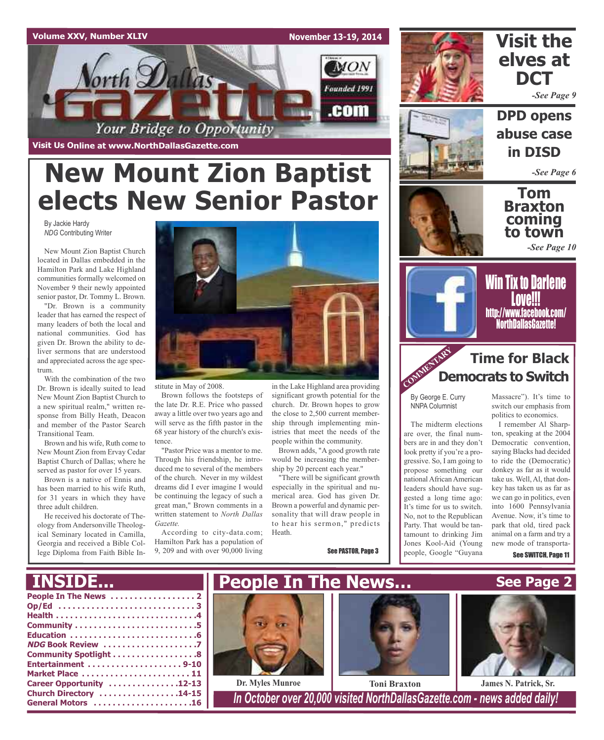### **Volume XXV, Number XLIV**

**Visit Us Online at www.NorthDallasGazette.com**

**November 13-19, 2014**





# **Visit the elves at DCT**

*-See Page 9*

**DPD opens abuse case in DISD**

*-See Page 6*

**Tom Braxton coming to town**

*-See Page 10*



Win Tix to Darlene **Love!!!** http://www.facebook.com/ NorthDallasGazette!

# **Time for Black Democrats to Switch**

By George E. Curry NNPA Columnist

COMM<sub>ENT</sub>

The midterm elections are over, the final numbers are in and they don't look pretty if you're a progressive. So, I am going to propose something our national African American leaders should have suggested a long time ago: It's time for us to switch. No, not to the Republican Party. That would be tantamount to drinking Jim Jones Kool-Aid (Young people, Google "Guyana

Massacre"). It's time to switch our emphasis from politics to economics.

I remember Al Sharpton, speaking at the 2004 Democratic convention, saying Blacks had decided to ride the (Democratic) donkey as far as it would take us. Well, Al, that donkey has taken us as far as we can go in politics, even into 1600 Pennsylvania Avenue. Now, it's time to park that old, tired pack animal on a farm and try a new mode of transporta-

See SWITCH, Page 11

# **New Mount Zion Baptist elects New Senior Pastor**

By Jackie Hardy *NDG* Contributing Writer

New Mount Zion Baptist Church located in Dallas embedded in the Hamilton Park and Lake Highland communities formally welcomed on November 9 their newly appointed senior pastor, Dr. Tommy L. Brown.

"Dr. Brown is a community leader that has earned the respect of many leaders of both the local and national communities. God has given Dr. Brown the ability to deliver sermons that are understood and appreciated across the age spectrum.

With the combination of the two Dr. Brown is ideally suited to lead New Mount Zion Baptist Church to a new spiritual realm," written response from Billy Heath, Deacon and member of the Pastor Search Transitional Team.

Brown and his wife, Ruth come to New Mount Zion from Ervay Cedar Baptist Church of Dallas; where he served as pastor for over 15 years.

Brown is a native of Ennis and has been married to his wife Ruth, for 31 years in which they have three adult children.

He received his doctorate of Theology from Andersonville Theological Seminary located in Camilla, Georgia and received a Bible College Diploma from Faith Bible In-



stitute in May of 2008.

Brown follows the footsteps of the late Dr. R.E. Price who passed away a little over two years ago and will serve as the fifth pastor in the 68 year history of the church's existence.

"Pastor Price was a mentor to me. Through his friendship, he introduced me to several of the members of the church. Never in my wildest dreams did I ever imagine I would be continuing the legacy of such a great man," Brown comments in a written statement to *North Dallas Gazette.*

According to city-data.com; Hamilton Park has a population of 9, 209 and with over 90,000 living

in the Lake Highland area providing significant growth potential for the church. Dr. Brown hopes to grow the close to 2,500 current membership through implementing ministries that meet the needs of the people within the community.

Brown adds, "A good growth rate would be increasing the membership by 20 percent each year."

"There will be significant growth especially in the spiritual and numerical area. God has given Dr. Brown a powerful and dynamic personality that will draw people in to hear his sermon," predicts Heath.

See PASTOR, Page 3



**General Motors . . . . . . . . . . . . . . . . . . . . .16** *In October over 20,000 visited NorthDallasGazette.com - news added daily!*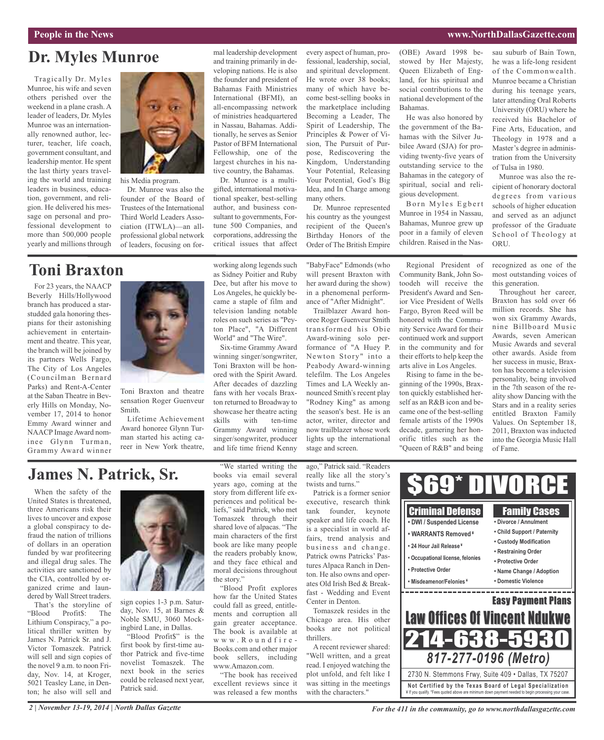#### **People in the News www.NorthDallasGazette.com**

# **Dr. Myles Munroe**

Tragically Dr. Myles Munroe, his wife and seven others perished over the weekend in a plane crash. A leader of leaders, Dr. Myles Munroe was an internationally renowned author, lecturer, teacher, life coach, government consultant, and leadership mentor. He spent the last thirty years traveling the world and training leaders in business, education, government, and religion. He delivered his message on personal and professional development to more than 500,000 people yearly and millions through



his Media program.

Dr. Munroe was also the founder of the Board of Trustees of the International Third World Leaders Association (ITWLA)—an allprofessional global network of leaders, focusing on for-

# **Toni Braxton**

For 23 years, the NAACP Beverly Hills/Hollywood branch has produced a starstudded gala honoring thespians for their astonishing achievement in entertainment and theatre. This year, the branch will be joined by its partners Wells Fargo, The City of Los Angeles (Councilman Bernard Parks) and Rent-A-Center at the Saban Theatre in Beverly Hills on Monday, November 17, 2014 to honor Emmy Award winner and NAACP Image Award nominee Glynn Turman, Grammy Award winner



Toni Braxton and theatre sensation Roger Guenveur Smith.

Lifetime Achievement Award honoree Glynn Turman started his acting career in New York theatre, working along legends such as Sidney Poitier and Ruby Dee, but after his move to Dr. Munroe is a multigifted, international motivational speaker, best-selling author, and business consultant to governments, Fortune 500 Companies, and corporations, addressing the critical issues that affect

mal leadership development and training primarily in developing nations. He is also the founder and president of Bahamas Faith Ministries International (BFMI), an all-encompassing network of ministries headquartered in Nassau, Bahamas. Additionally, he serves as Senior Pastor of BFM International Fellowship, one of the largest churches in his native country, the Bahamas.

Los Angeles, he quickly became a staple of film and television landing notable roles on such series as "Peyton Place", "A Different World" and "The Wire".

Six-time Grammy Award winning singer/songwriter, Toni Braxton will be honored with the Spirit Award. After decades of dazzling fans with her vocals Braxton returned to Broadway to showcase her theatre acting skills with ten-time Grammy Award winning singer/songwriter, producer and life time friend Kenny

every aspect of human, professional, leadership, social, and spiritual development. He wrote over 38 books; many of which have become best-selling books in the marketplace including Becoming a Leader, The Spirit of Leadership, The Principles & Power of Vision, The Pursuit of Purpose, Rediscovering the Kingdom, Understanding Your Potential, Releasing Your Potential, God's Big Idea, and In Charge among many others.

Dr. Munroe represented his country as the youngest recipient of the Queen's Birthday Honors of the Order of The British Empire

"BabyFace" Edmonds (who will present Braxton with her award during the show) in a phenomenal performance of "After Midnight".

Trailblazer Award honoree Roger Guenveur Smith transformed his Obie Award-wining solo performance of "A Huey P. Newton Story" into a Peabody Award-winning telefilm. The Los Angeles Times and LA Weekly announced Smith's recent play "Rodney King" as among the season's best. He is an actor, writer, director and now trailblazer whose work lights up the international stage and screen.

(OBE) Award 1998 bestowed by Her Majesty, Queen Elizabeth of England, for his spiritual and social contributions to the national development of the Bahamas.

He was also honored by the government of the Bahamas with the Silver Jubilee Award (SJA) for providing twenty-five years of outstanding service to the Bahamas in the category of spiritual, social and religious development.

Born Myles Egbert Munroe in 1954 in Nassau, Bahamas, Munroe grew up poor in a family of eleven children. Raised in the Nas-

Regional President of Community Bank, John Sotoodeh will receive the President's Award and Senior Vice President of Wells Fargo, Byron Reed will be honored with the Community Service Award for their continued work and support in the community and for their efforts to help keep the arts alive in Los Angeles.

Rising to fame in the beginning of the 1990s, Braxton quickly established herself as an R&B icon and became one of the best-selling female artists of the 1990s decade, garnering her honorific titles such as the "Queen of R&B" and being sau suburb of Bain Town, he was a life-long resident of the Commonwealth. Munroe became a Christian during his teenage years, later attending Oral Roberts University (ORU) where he received his Bachelor of Fine Arts, Education, and Theology in 1978 and a Master's degree in administration from the University of Tulsa in 1980.

Munroe was also the recipient of honorary doctoral degrees from various schools of higher education and served as an adjunct professor of the Graduate School of Theology at ORU.

recognized as one of the most outstanding voices of this generation.

Throughout her career, Braxton has sold over 66 million records. She has won six Grammy Awards, nine Billboard Music Awards, seven American Music Awards and several other awards. Aside from her success in music, Braxton has become a television personality, being involved in the 7th season of the reality show Dancing with the Stars and in a reality series entitled Braxton Family Values. On September 18, 2011, Braxton was inducted into the Georgia Music Hall of Fame.

# **James N. Patrick, Sr.**

When the safety of the United States is threatened, three Americans risk their lives to uncover and expose a global conspiracy to defraud the nation of trillions of dollars in an operation funded by war profiteering and illegal drug sales. The activities are sanctioned by the CIA, controlled by organized crime and laundered by Wall Street traders.

That's the storyline of "Blood Profit\$: The Lithium Conspiracy," a political thriller written by James N. Patrick Sr. and J. Victor Tomaszek. Patrick will sell and sign copies of the novel 9 a.m. to noon Friday, Nov. 14, at Kroger, 5021 Teasley Lane, in Denton; he also will sell and



sign copies 1-3 p.m. Saturday, Nov. 15, at Barnes & Noble SMU, 3060 Mockingbird Lane, in Dallas.

"Blood Profit\$" is the first book by first-time author Patrick and five-time novelist Tomaszek. The next book in the series could be released next year, Patrick said.

"We started writing the books via email several years ago, coming at the story from different life experiences and political beliefs," said Patrick, who met Tomaszek through their shared love of alpacas. "The main characters of the first book are like many people the readers probably know, and they face ethical and moral decisions throughout the story." "Blood Profit explores

how far the United States could fall as greed, entitlements and corruption all gain greater acceptance. The book is available at w w w . R o u n d f i r e - Books.com and other major book sellers, including www.Amazon.com.

"The book has received excellent reviews since it was released a few months ago," Patrick said. "Readers really like all the story's twists and turns."

Patrick is a former senior executive, research think tank founder, keynote speaker and life coach. He is a specialist in world affairs, trend analysis and business and change. Patrick owns Patricks' Pastures Alpaca Ranch in Denton. He also owns and operates Old Irish Bed & Breakfast - Wedding and Event Center in Denton.

Tomaszek resides in the Chicago area. His other books are not political thrillers.

A recent reviewer shared: "Well written, and a great read. I enjoyed watching the plot unfold, and felt like I was sitting in the meetings with the characters."



*2 | November 13-19, 2014 | North Dallas Gazette*

*For the 411 in the community, go to www.northdallasgazette.com*

¥ If you qualify. \*Fees quoted above are minimum down payment needed to begin processing your case.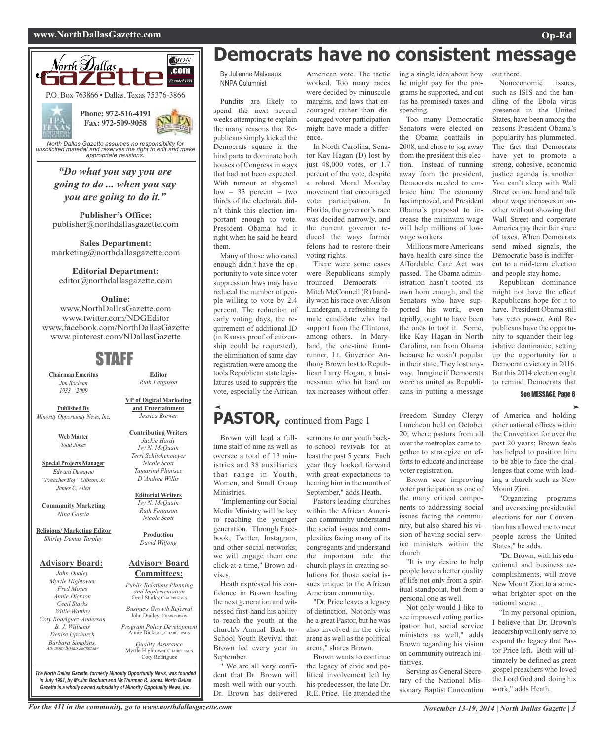#### **www.NorthDallasGazette.com Op-Ed**



*unsolicited material and reserves the right to edit and make appropriate revisions.*

> *"Do what you say you are going to do ... when you say you are going to do it."*

**Publisher's Office:** publisher@northdallasgazette.com

**Sales Department:** marketing@northdallasgazette.com

#### **Editorial Department:**

editor@northdallasgazette.com

#### **Online:**

www.NorthDallasGazette.com www.twitter.com/NDGEditor www.facebook.com/NorthDallasGazette www.pinterest.com/NDallasGazette

# STAFF

**Chairman Emeritus** *Jim Bochum 1933 – 2009*

**Published By** *Minority Opportunity News, Inc.*

> **Web Master** *Todd Jones*

**Special Projects Manager** *Edward Dewayne "Preacher Boy" Gibson, Jr. James C. Allen*

**Community Marketing** *Nina Garcia*

**Religious/ Marketing Editor** *Shirley Demus Tarpley*

#### **Advisory Board:**

*John Dudley Myrtle Hightower Fred Moses Annie Dickson Cecil Starks Willie Wattley Coty Rodriguez-Anderson B. J. Williams Denise Upchurch Barbara Simpkins, ADVISORY BOARD SECRETARY*

**and Entertainment** *Jessica Brewer* **Contributing Writers** *Jackie Hardy*

**VP of Digital Marketing**

**Editor** *Ruth Ferguson*

#### *Ivy N. McQuain Terri Schlichenmeyer Nicole Scott Tamarind Phinisee D'Andrea Willis*

#### **Editorial Writers** *Ivy N. McQuain Ruth Ferguson Nicole Scott*

**Production** *David Wilfong*

#### **Advisory Board Committees:**

*Public Relations Planning and Implementation* Cecil Starks, CHAIRPERSON *Business Growth Referral*

John Dudley, CHAIRPERSON *Program Policy Development*

Annie Dickson, Chairper

*Quality Assurance* Myrtle Hightower, CHAIRPERSON Coty Rodriguez

*The North Dallas Gazette, formerly Minority Opportunity News, was founded in July 1991, by Mr.Jim Bochum and Mr.Thurman R. Jones. North Dallas Gazette is a wholly owned subsidairy of Minority Oppotunity News, Inc.*

# **Democrats have no consistent message**

By Julianne Malveaux NNPA Columnist

Pundits are likely to spend the next several weeks attempting to explain the many reasons that Republicans simply kicked the Democrats square in the hind parts to dominate both houses of Congress in ways that had not been expected. With turnout at abysmal  $low - 33$  percent – two thirds of the electorate didn't think this election important enough to vote. President Obama had it right when he said he heard them.

Many of those who cared enough didn't have the opportunity to vote since voter suppression laws may have reduced the number of people willing to vote by 2.4 percent. The reduction of early voting days, the requirement of additional ID (in Kansas proof of citizenship could be requested), the elimination of same-day registration were among the tools Republican state legislatures used to suppress the vote, especially the African

#### American vote. The tactic worked. Too many races were decided by minuscule margins, and laws that encouraged rather than discouraged voter participation might have made a differ-

ence. In North Carolina, Senator Kay Hagan (D) lost by just 48,000 votes, or 1.7 percent of the vote, despite a robust Moral Monday movement that encouraged voter participation. In Florida, the governor's race was decided narrowly, and the current governor reduced the ways former felons had to restore their voting rights.

There were some cases were Republicans simply trounced Democrats – Mitch McConnell (R) handily won his race over Alison Lundergan, a refreshing female candidate who had support from the Clintons, among others. In Maryland, the one-time frontrunner, Lt. Governor Anthony Brown lost to Republican Larry Hogan, a businessman who hit hard on tax increases without offer-

# PASTOR, continued from Page 1

Brown will lead a fulltime staff of nine as well as oversee a total of 13 ministries and 38 auxiliaries that range in Youth, Women, and Small Group Ministries.

"Implementing our Social Media Ministry will be key to reaching the younger generation. Through Facebook, Twitter, Instagram, and other social networks; we will engage them one click at a time,'' Brown advises.

Heath expressed his confidence in Brown leading the next generation and witnessed first-hand his ability to reach the youth at the church's Annual Back-to-School Youth Revival that Brown led every year in September.

" We are all very confident that Dr. Brown will mesh well with our youth. Dr. Brown has delivered

sermons to our youth backto-school revivals for at least the past 5 years. Each year they looked forward with great expectations to hearing him in the month of

September," adds Heath. Pastors leading churches within the African American community understand the social issues and complexities facing many of its congregants and understand the important role the church plays in creating solutions for those social issues unique to the African American community.

"Dr. Price leaves a legacy of distinction. Not only was he a great Pastor, but he was also involved in the civic arena as well as the political arena," shares Brown.

Brown wants to continue the legacy of civic and political involvement left by his predecessor, the late Dr. R.E. Price. He attended the ing a single idea about how he might pay for the programs he supported, and cut (as he promised) taxes and spending.

Too many Democratic Senators were elected on the Obama coattails in 2008, and chose to jog away from the president this election. Instead of running away from the president, Democrats needed to embrace him. The economy has improved, and President Obama's proposal to increase the minimum wage will help millions of lowwage workers.

Millions more Americans have health care since the Affordable Care Act was passed. The Obama administration hasn't tooted its own horn enough, and the Senators who have supported his work, even tepidly, ought to have been the ones to toot it. Some, like Kay Hagan in North Carolina, ran from Obama because he wasn't popular in their state. They lost anyway. Imagine if Democrats were as united as Republicans in putting a message

Freedom Sunday Clergy Luncheon held on October 20; where pastors from all over the metroplex came together to strategize on efforts to educate and increase

Brown sees improving voter participation as one of the many critical components to addressing social issues facing the community, but also shared his vision of having social service ministers within the

"It is my desire to help people have a better quality of life not only from a spiritual standpoint, but from a personal one as well.

Not only would I like to see improved voting participation but, social service ministers as well," adds Brown regarding his vision on community outreach ini-

Serving as General Secretary of the National Missionary Baptist Convention

voter registration.

church.

tiatives.

out there.

Noneconomic issues, such as ISIS and the handling of the Ebola virus presence in the United States, have been among the reasons President Obama's popularity has plummeted. The fact that Democrats have yet to promote a strong, cohesive, economic justice agenda is another. You can't sleep with Wall Street on one hand and talk about wage increases on another without showing that Wall Street and corporate America pay their fair share of taxes. When Democrats send mixed signals, the Democratic base is indifferent to a mid-term election and people stay home.

Republican dominance might not have the effect Republicans hope for it to have. President Obama still has veto power. And Republicans have the opportunity to squander their legislative dominance, setting up the opportunity for a Democratic victory in 2016. But this 2014 election ought to remind Democrats that

#### See MESSAGE, Page 6

of America and holding other national offices within the Convention for over the past 20 years; Brown feels has helped to position him to be able to face the challenges that come with leading a church such as New Mount Zion.

"Organizing programs and overseeing presidential elections for our Convention has allowed me to meet people across the United States," he adds.

"Dr. Brown, with his educational and business accomplishments, will move New Mount Zion to a somewhat brighter spot on the national scene…

"In my personal opinion, I believe that Dr. Brown's leadership will only serve to expand the legacy that Pastor Price left. Both will ultimately be defined as great gospel preachers who loved the Lord God and doing his work," adds Heath.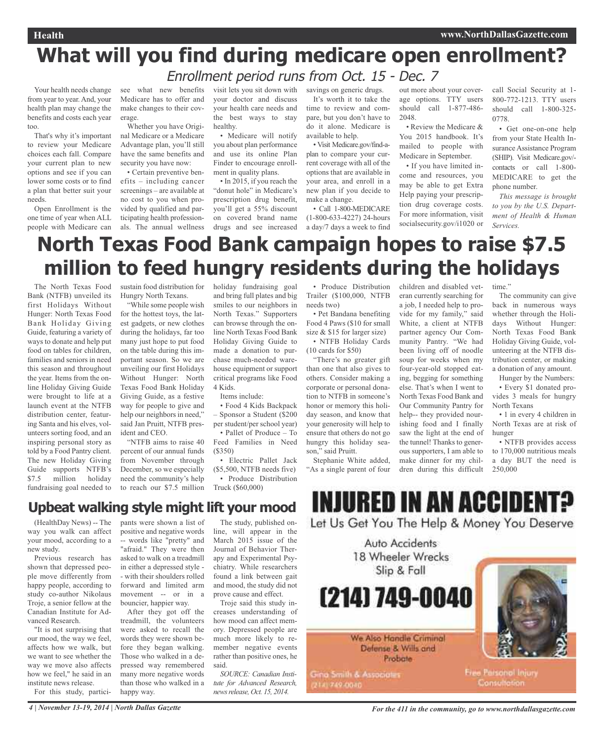# **What will you find during medicare open enrollment?** Enrollment period runs from Oct. 15 - Dec. 7

Your health needs change from year to year. And, your health plan may change the benefits and costs each year too.

That's why it's important to review your Medicare choices each fall. Compare your current plan to new options and see if you can lower some costs or to find a plan that better suit your needs.

Open Enrollment is the one time of year when ALL people with Medicare can see what new benefits Medicare has to offer and make changes to their coverage.

Whether you have Original Medicare or a Medicare Advantage plan, you'll still have the same benefits and security you have now: • Certain preventive ben-

efits – including cancer screenings – are available at no cost to you when provided by qualified and participating health professionals. The annual wellness visit lets you sit down with your doctor and discuss your health care needs and the best ways to stay healthy.

• Medicare will notify you about plan performance and use its online Plan Finder to encourage enrollment in quality plans.

• In 2015, if you reach the "donut hole" in Medicare's prescription drug benefit, you'll get a 55% discount on covered brand name drugs and see increased savings on generic drugs. It's worth it to take the time to review and compare, but you don't have to do it alone. Medicare is available to help.

• Visit Medicare.gov/find-aplan to compare your current coverage with all of the options that are available in your area, and enroll in a new plan if you decide to make a change.

• Call 1-800-MEDICARE (1-800-633-4227) 24-hours a day/7 days a week to find out more about your coverage options. TTY users should call 1-877-486- 2048.

• Review the Medicare & You 2015 handbook. It's mailed to people with Medicare in September.

• If you have limited income and resources, you may be able to get Extra Help paying your prescription drug coverage costs. For more information, visit socialsecurity.gov/i1020 or

call Social Security at 1- 800-772-1213. TTY users should call 1-800-325- 0778.

• Get one-on-one help from your State Health Insurance Assistance Program (SHIP). Visit Medicare.gov/ contacts or call 1-800- MEDICARE to get the phone number.

*This message is brought to you by the U.S. Department of Health & Human Services.*

# **North Texas Food Bank campaign hopes to raise \$7.5 million to feed hungry residents during the holidays**

The North Texas Food Bank (NTFB) unveiled its first Holidays Without Hunger: North Texas Food Bank Holiday Giving Guide, featuring a variety of ways to donate and help put food on tables for children, families and seniors in need this season and throughout the year. Items from the online Holiday Giving Guide were brought to life at a launch event at the NTFB distribution center, featuring Santa and his elves, volunteers sorting food, and an inspiring personal story as told by a Food Pantry client. The new Holiday Giving Guide supports NTFB's \$7.5 million holiday fundraising goal needed to sustain food distribution for Hungry North Texans.

"While some people wish for the hottest toys, the latest gadgets, or new clothes during the holidays, far too many just hope to put food on the table during this important season. So we are unveiling our first Holidays Without Hunger: North Texas Food Bank Holiday Giving Guide, as a festive way for people to give and help our neighbors in need," said Jan Pruitt, NTFB president and CEO.

"NTFB aims to raise 40 percent of our annual funds from November through December, so we especially need the community's help to reach our \$7.5 million holiday fundraising goal and bring full plates and big smiles to our neighbors in North Texas." Supporters can browse through the online North Texas Food Bank Holiday Giving Guide to made a donation to purchase much-needed warehouse equipment or support critical programs like Food 4 Kids.

Items include:

• Food 4 Kids Backpack – Sponsor a Student (\$200 per student/per school year) • Pallet of Produce – To Feed Families in Need (\$350)

• Electric Pallet Jack (\$5,500, NTFB needs five) • Produce Distribution Truck (\$60,000)

• Produce Distribution Trailer (\$100,000, NTFB needs two)

• Pet Bandana benefiting Food 4 Paws (\$10 for small size & \$15 for larger size) • NTFB Holiday Cards

(10 cards for \$50) "There's no greater gift than one that also gives to others. Consider making a corporate or personal donation to NTFB in someone's honor or memory this holiday season, and know that your generosity will help to ensure that others do not go hungry this holiday season," said Pruitt.

Stephanie White added, "As a single parent of four

2141749-0040

children and disabled veteran currently searching for a job, I needed help to provide for my family," said White, a client at NTFB partner agency Our Community Pantry. "We had been living off of noodle soup for weeks when my four-year-old stopped eating, begging for something else. That's when I went to North Texas Food Bank and Our Community Pantry for help-- they provided nourishing food and I finally saw the light at the end of the tunnel! Thanks to generous supporters, I am able to make dinner for my children during this difficult time.'

The community can give back in numerous ways whether through the Holidays Without Hunger: North Texas Food Bank Holiday Giving Guide, volunteering at the NTFB distribution center, or making a donation of any amount.

Hunger by the Numbers: • Every \$1 donated provides 3 meals for hungry North Texans

• 1 in every 4 children in North Texas are at risk of hunger

• NTFB provides access to 170,000 nutritious meals a day BUT the need is 250,000

# **Upbeat walking style might lift your mood**

(HealthDay News) -- The way you walk can affect your mood, according to a new study.

Previous research has shown that depressed people move differently from happy people, according to study co-author Nikolaus Troje, a senior fellow at the Canadian Institute for Advanced Research.

"It is not surprising that our mood, the way we feel, affects how we walk, but we want to see whether the way we move also affects how we feel," he said in an institute news release.

For this study, partici-

pants were shown a list of positive and negative words -- words like "pretty" and "afraid." They were then asked to walk on a treadmill in either a depressed style - - with their shoulders rolled forward and limited arm movement -- or in a bouncier, happier way.

After they got off the treadmill, the volunteers were asked to recall the words they were shown before they began walking. Those who walked in a depressed way remembered many more negative words than those who walked in a happy way.

The study, published online, will appear in the March 2015 issue of the Journal of Behavior Therapy and Experimental Psychiatry. While researchers found a link between gait and mood, the study did not prove cause and effect.

Troje said this study increases understanding of how mood can affect memory. Depressed people are much more likely to remember negative events rather than positive ones, he said.

*SOURCE: Canadian Institute for Advanced Research, newsrelease, Oct. 15, 2014.*

**INJURED IN AN ACCIDENT?** Let Us Get You The Help & Money You Deserve

Auto Accidents 18 Wheeler Wrecks Slip & Fall (214) 749-0040 We Also Handle Criminal Defense & Wills and **Probate Free Parsonol Injury** Gina Smith & Associates **Consultation** 

4 November 13-19, 2014 | North Dallas Gazette Service of All in the community, go to www.northdallasgazette.com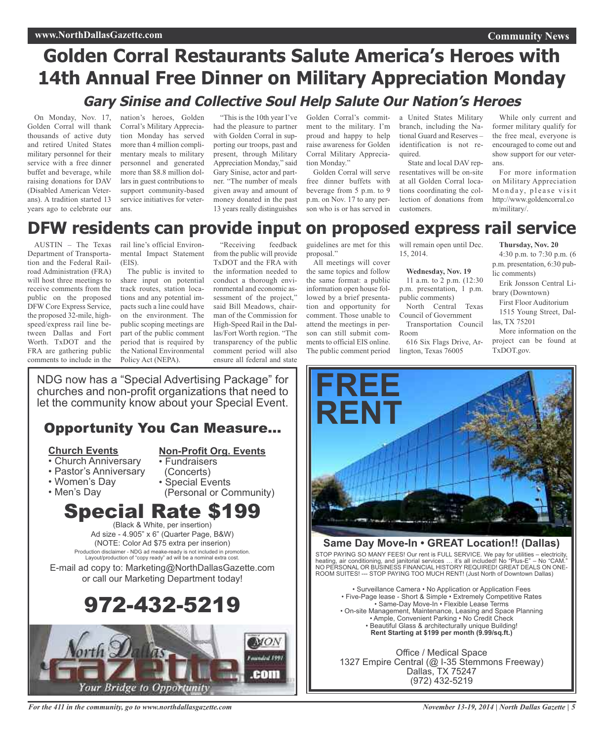### **Community News**

# **Golden Corral Restaurants Salute America's Heroes with 14th Annual Free Dinner on Military Appreciation Monday Gary Sinise and Collective Soul Help Salute Our Nation's Heroes**

On Monday, Nov. 17, Golden Corral will thank thousands of active duty and retired United States military personnel for their service with a free dinner buffet and beverage, while raising donations for DAV (Disabled American Veterans). A tradition started 13 years ago to celebrate our

nation's heroes, Golden Corral's Military Appreciation Monday has served more than 4 million complimentary meals to military personnel and generated more than \$8.8 million dollars in guest contributions to support community-based service initiatives for veterans.

had the pleasure to partner with Golden Corral in supporting our troops, past and present, through Military Appreciation Monday," said Gary Sinise, actor and partner. "The number of meals given away and amount of money donated in the past 13 years really distinguishes

"This is the 10th year I've Golden Corral's commitment to the military. I'm proud and happy to help raise awareness for Golden Corral Military Appreciation Monday."

Golden Corral will serve free dinner buffets with beverage from 5 p.m. to 9 p.m. on Nov. 17 to any person who is or has served in

a United States Military branch, including the National Guard and Reserves – identification is not required.

State and local DAV representatives will be on-site at all Golden Corral locations coordinating the collection of donations from customers.

While only current and former military qualify for the free meal, everyone is encouraged to come out and show support for our veterans.

For more information on Military Appreciation Monday, please visit http://www.goldencorral.co m/military/.

# **DFW residents can provide input on proposed express rail service**

AUSTIN – The Texas Department of Transportation and the Federal Railroad Administration (FRA) will host three meetings to receive comments from the public on the proposed DFW Core Express Service, the proposed 32-mile, highspeed/express rail line between Dallas and Fort Worth. TxDOT and the FRA are gathering public comments to include in the rail line's official Environmental Impact Statement (EIS).

The public is invited to share input on potential track routes, station locations and any potential impacts such a line could have on the environment. The public scoping meetings are part of the public comment period that is required by the National Environmental Policy Act (NEPA).

"Receiving feedback from the public will provide TxDOT and the FRA with the information needed to conduct a thorough environmental and economic assessment of the project," said Bill Meadows, chairman of the Commission for High-Speed Rail in the Dallas/Fort Worth region. "The transparency of the public comment period will also ensure all federal and state

guidelines are met for this will remain open until Dec. proposal."

All meetings will cover the same topics and follow the same format: a public information open house followed by a brief presentation and opportunity for comment. Those unable to attend the meetings in person can still submit comments to official EIS online. The public comment period

15, 2014.

### **Wednesday, Nov. 19**

11 a.m. to 2 p.m. (12:30 p.m. presentation, 1 p.m. public comments)

North Central Texas Council of Government Transportation Council

Room 616 Six Flags Drive, Ar-

lington, Texas 76005

**Thursday, Nov. 20**

4:30 p.m. to 7:30 p.m. (6 p.m. presentation, 6:30 public comments)

Erik Jonsson Central Library (Downtown)

First Floor Auditorium 1515 Young Street, Dallas, TX 75201

More information on the project can be found at TxDOT.gov.



### **Same Day Move-In • GREAT Location!! (Dallas)**

STOP PAYING SO MANY FEES! Our rent is FULL SERVICE. We pay for utilities – electricity, heating, air conditioning, and janitorial services … it's all included! No "Plus-E" – No "CAM." NO PERSONAL OR BUSINESS FINANCIAL HISTORY REQUIRED! GREAT DEALS ON ONE-ROOM SUITES! --- STOP PAYING TOO MUCH RENT! (Just North of Downtown Dallas)

• Surveillance Camera • No Application or Application Fees • Five-Page lease - Short & Simple • Extremely Competitive Rates • Same-Day Move-In • Flexible Lease Terms • On-site Management, Maintenance, Leasing and Space Planning • Ample, Convenient Parking • No Credit Check • Beautiful Glass & architecturally unique Building! **Rent Starting at \$199 per month (9.99/sq.ft.)**

Office / Medical Space 1327 Empire Central (@ I-35 Stemmons Freeway) Dallas, TX 75247 (972) 432-5219

NDG now has a "Special Advertising Package" for churches and non-profit organizations that need to let the community know about your Special Event.

# Opportunity You Can Measure...

### **Church Events**

### **Non-Profit Org. Events**

- Church Anniversary • Fundraisers
- Pastor's Anniversary
- Women's Day
- Men's Day
- (Concerts) • Special Events (Personal or Community)
- Special Rate \$199

(Black & White, per insertion) Ad size - 4.905" x 6" (Quarter Page, B&W) (NOTE: Color Ad \$75 extra per inserion) Production disclaimer - NDG ad meake-ready is not included in promotion. Layout/production of "copy ready" ad will be a nominal extra cost. E-mail ad copy to: Marketing@NorthDallasGazette.com or call our Marketing Department today!

# 972-432-5219



*For the 411 in the community, go to www.northdallasgazette.com*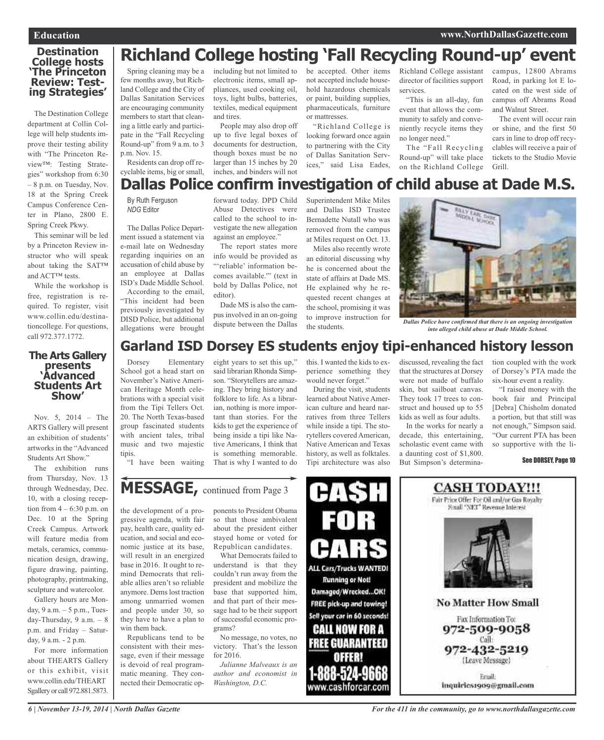# **Destination College hosts 'The Princeton Review: Test- ing Strategies'**

The Destination College department at Collin College will help students improve their testing ability with "The Princeton Review™: Testing Strategies" workshop from 6:30 – 8 p.m. on Tuesday, Nov. 18 at the Spring Creek Campus Conference Center in Plano, 2800 E. Spring Creek Pkwy.

This seminar will be led by a Princeton Review instructor who will speak about taking the SAT™ and ACT™ tests.

While the workshop is free, registration is required. To register, visit www.collin.edu/destinationcollege. For questions, call 972.377.1772.

## **The Arts Gallery presents 'Advanced Students Art Show'**

Nov. 5, 2014 – The ARTS Gallery will present an exhibition of students' artworks in the "Advanced Students Art Show."

The exhibition runs from Thursday, Nov. 13 through Wednesday, Dec. 10, with a closing reception from  $4 - 6:30$  p.m. on Dec. 10 at the Spring Creek Campus. Artwork will feature media from metals, ceramics, communication design, drawing, figure drawing, painting, photography, printmaking, sculpture and watercolor.

Gallery hours are Monday, 9 a.m. – 5 p.m., Tuesday-Thursday,  $9$  a.m.  $-8$ p.m. and Friday – Saturday, 9 a.m. - 2 p.m.

For more information about THEARTS Gallery or this exhibit, visit www.collin.edu/THEART Sgallery or call 972.881.5873.

Spring cleaning may be a few months away, but Richland College and the City of Dallas Sanitation Services are encouraging community members to start that cleaning a little early and particiincluding but not limited to electronic items, small appliances, used cooking oil, toys, light bulbs, batteries, textiles, medical equipment and tires. People may also drop off **Richland College hosting 'Fall Recycling Round-up' event**

pate in the "Fall Recycling Round-up" from 9 a.m. to 3 Residents can drop off reup to five legal boxes of documents for destruction, though boxes must be no larger than 15 inches by 20 inches, and binders will not

be accepted. Other items not accepted include household hazardous chemicals or paint, building supplies, pharmaceuticals, furniture or mattresses.

"Richland College is looking forward once again to partnering with the City of Dallas Sanitation Services," said Lisa Eades,

Richland College assistant director of facilities support services.

"This is an all-day, fun event that allows the community to safely and conveniently recycle items they no longer need."

The "Fall Recycling Round-up" will take place on the Richland College campus, 12800 Abrams Road, in parking lot E located on the west side of campus off Abrams Road and Walnut Street.

The event will occur rain or shine, and the first 50 cars in line to drop off recyclables will receive a pair of tickets to the Studio Movie Grill.

## cyclable items, big or small, **Dallas Police confirm investigation of child abuse at Dade M.S.**

By Ruth Ferguson *NDG* Editor

p.m. Nov. 15.

The Dallas Police Department issued a statement via e-mail late on Wednesday regarding inquiries on an accusation of child abuse by an employee at Dallas ISD's Dade Middle School. According to the email, "This incident had been previously investigated by DISD Police, but additional allegations were brought forward today. DPD Child Abuse Detectives were called to the school to investigate the new allegation against an employee."

The report states more info would be provided as "'reliable' information becomes available.'" (text in bold by Dallas Police, not editor).

Dade MS is also the campus involved in an on-going dispute between the Dallas

eight years to set this up,"

Superintendent Mike Miles and Dallas ISD Trustee Bernadette Nutall who was removed from the campus at Miles request on Oct. 13.

Miles also recently wrote an editorial discussing why he is concerned about the state of affairs at Dade MS. He explained why he requested recent changes at the school, promising it was to improve instruction for the students.



*Dallas Police have confirmed that there is an ongoing investigation into alleged child abuse at Dade Middle School.*

# **Garland ISD Dorsey ES students enjoy tipi-enhanced history lesson**

Dorsey Elementary School got a head start on November's Native American Heritage Month celebrations with a special visit from the Tipi Tellers Oct. 20. The North Texas-based group fascinated students with ancient tales, tribal music and two majestic tipis.

"I have been waiting

said librarian Rhonda Simpson. "Storytellers are amazing. They bring history and folklore to life. As a librarian, nothing is more important than stories. For the kids to get the experience of being inside a tipi like Native Americans, I think that is something memorable. That is why I wanted to do

this. I wanted the kids to experience something they would never forget."

During the visit, students learned about Native American culture and heard narratives from three Tellers while inside a tipi. The storytellers covered American, Native American and Texas history, as well as folktales. Tipi architecture was also

discussed, revealing the fact that the structures at Dorsey were not made of buffalo skin, but sailboat canvas. They took 17 trees to construct and housed up to 55 kids as well as four adults.

In the works for nearly a decade, this entertaining, scholastic event came with a daunting cost of \$1,800. But Simpson's determination coupled with the work of Dorsey's PTA made the six-hour event a reality.

"I raised money with the book fair and Principal [Debra] Chisholm donated a portion, but that still was not enough," Simpson said. "Our current PTA has been so supportive with the li-

See DORSEY, Page 10

# **MESSAGE,** continued from Page <sup>3</sup>

the development of a progressive agenda, with fair pay, health care, quality education, and social and economic justice at its base, will result in an energized base in 2016. It ought to remind Democrats that reliable allies aren't so reliable anymore. Dems lost traction among unmarried women and people under 30, so they have to have a plan to win them back.

Republicans tend to be consistent with their message, even if their message is devoid of real programmatic meaning. They connected their Democratic opponents to President Obama so that those ambivalent about the president either stayed home or voted for Republican candidates.

What Democrats failed to understand is that they couldn't run away from the president and mobilize the base that supported him, and that part of their message had to be their support of successful economic programs?

No message, no votes, no victory. That's the lesson for 2016.

*Julianne Malveaux is an author and economist in Washington, D.C.*





**CASH TODAY!!!** 

inquiries1909@gmail.com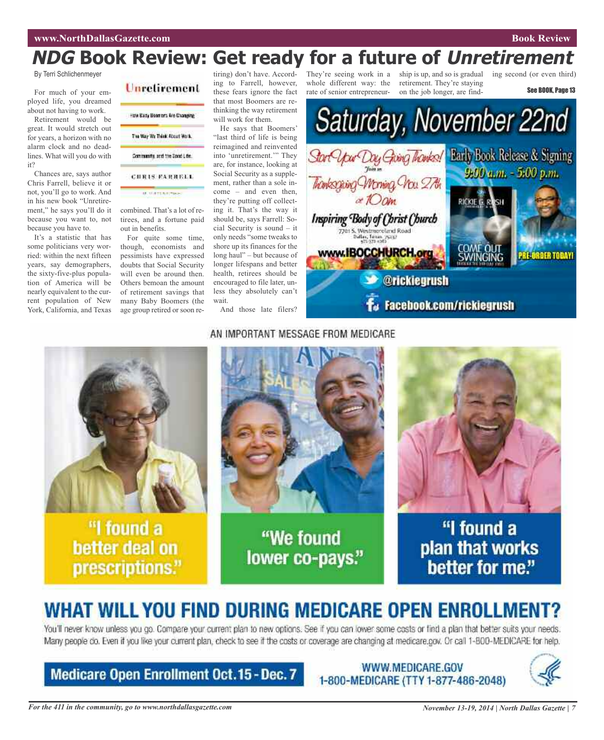# **NDG Book Review: Get ready for a future of Unretirement**

By Terri Schlichenmeyer

For much of your employed life, you dreamed about not having to work.

Retirement would be great. It would stretch out for years, a horizon with no alarm clock and no deadlines. What will you do with it?

Chances are, says author Chris Farrell, believe it or not, you'll go to work. And in his new book "Unretirement," he says you'll do it because you want to, not because you have to.

It's a statistic that has some politicians very worried: within the next fifteen years, say demographers, the sixty-five-plus population of America will be nearly equivalent to the current population of New York, California, and Texas



combined. That's a lot of retirees, and a fortune paid out in benefits.

For quite some time, though, economists and pessimists have expressed doubts that Social Security will even be around then. Others bemoan the amount of retirement savings that many Baby Boomers (the age group retired or soon re-

tiring) don't have. According to Farrell, however, these fears ignore the fact that most Boomers are rethinking the way retirement will work for them.

He says that Boomers' "last third of life is being reimagined and reinvented into 'unretirement.'" They are, for instance, looking at Social Security as a supplement, rather than a sole income – and even then, they're putting off collecting it. That's the way it should be, says Farrell: Social Security is sound – it only needs "some tweaks to shore up its finances for the long haul" – but because of longer lifespans and better health, retirees should be encouraged to file later, unless they absolutely can't wait.

And those late filers?

They're seeing work in a ship is up, and so is gradual ing second (or even third) whole different way: the rate of senior entrepreneur-

retirement. They're staying on the job longer, are find-

See BOOK, Page 13



### AN IMPORTANT MESSAGE FROM MEDICARE



lower co-pays."



"I found a plan that works better for me."

# **WHAT WILL YOU FIND DURING MEDICARE OPEN ENROLLMENT?**

You'll never know unless you go. Compare your current plan to new options. See if you can lower some costs or find a plan that better suits your needs. Many people do. Even if you like your current plan, check to see if the costs or coverage are changing at medicare.gov. Or call 1-800-MEDICARE for help.

# **Medicare Open Enrollment Oct.15 - Dec. 7**

WWW.MEDICARE.GOV 1-800-MEDICARE (TTY 1-877-486-2048)



prescriptions."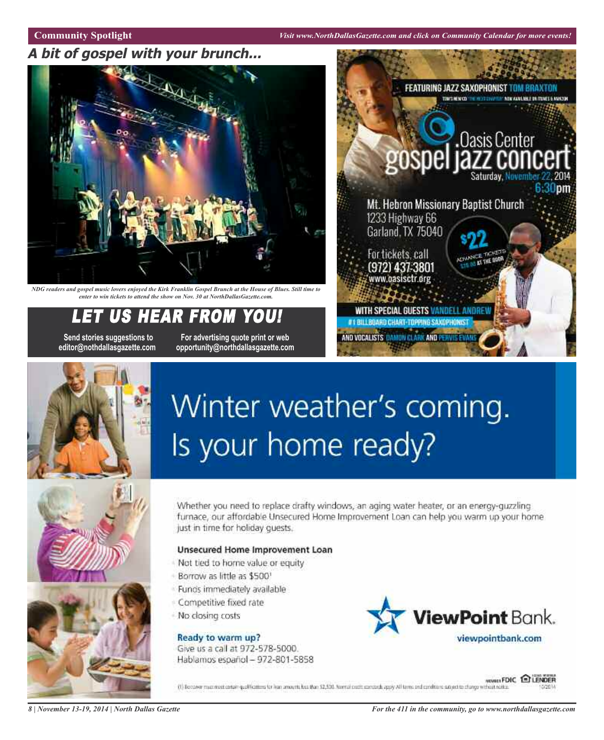**Community Spotlight** *Visit www.NorthDallasGazette.com and click on Community Calendar for more events!*

# **A bit of gospel with your brunch...**



NDG readers and gospel music lovers enjoyed the Kirk Franklin Gospel Brunch at the House of Blues. Still time to *enter to win tickets to attend the show on Nov. 30 at NorthDallasGazette.com.*

# EAR FROM YO

**Send stories suggestions to For advertising quote print or web editor@nothdallasgazette.com opportunity@northdallasgazette.com**





# Winter weather's coming. Is your home ready?





Whether you need to replace drafty windows, an aging water heater, or an energy-guzzling furnace, our affordable Unsecured Home Improvement Loan can help you warm up your home. just in time for holiday quests.

### Unsecured Home Improvement Loan

- Not tied to home value or equity
- Borrow as little as \$500'
- Funds immediately available
- Competitive fixed rate
- No closing costs

Ready to warm up? Give us a call at 972-578-5000. Hablamos español - 972-801-5858



**WAREFOIC ELENDER** (1) Borcower much neet cortain qualifications for lean amounts but then \$2,500. Normal credit exerciseds apply All torms and conditions subject to change without notice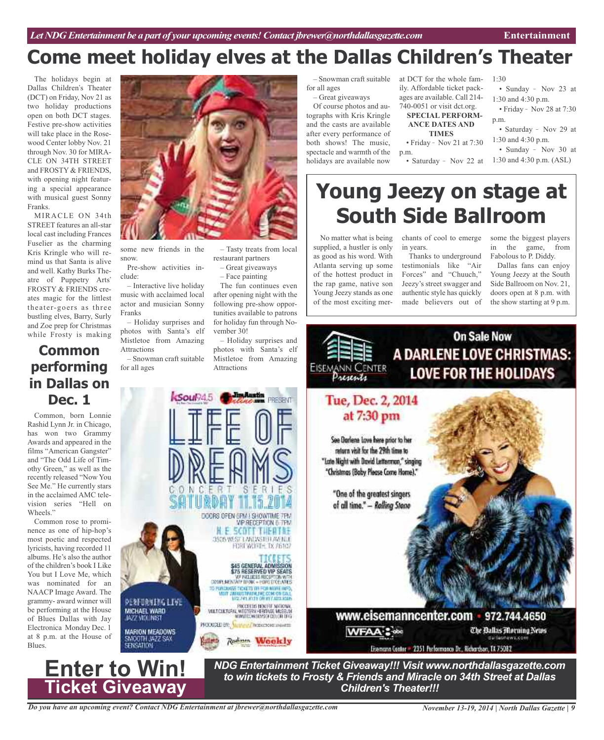# **Come meet holiday elves at the Dallas Children's Theater**

The holidays begin at Dallas Children's Theater (DCT) on Friday, Nov 21 as two holiday productions open on both DCT stages. Festive pre-show activities will take place in the Rosewood Center lobby Nov. 21 through Nov. 30 for MIRA-CLE ON 34TH STREET and FROSTY & FRIENDS, with opening night featuring a special appearance with musical guest Sonny Franks.

MIRACLE ON 34th STREET features an all-star local cast including Frances Fuselier as the charming Kris Kringle who will remind us that Santa is alive and well. Kathy Burks Theatre of Puppetry Arts FROSTY & FRIENDS creates magic for the littlest theater-goers as three bustling elves, Barry, Surly and Zoe prep for Christmas while Frosty is making

# **Common performing in Dallas on Dec. 1**

Common, born Lonnie Rashid Lynn Jr. in Chicago, has won two Grammy Awards and appeared in the films "American Gangster" and "The Odd Life of Timothy Green," as well as the recently released "Now You See Me." He currently stars in the acclaimed AMC television series "Hell on Wheels."

Common rose to prominence as one of hip-hop's most poetic and respected lyricists, having recorded 11 albums. He's also the author of the children's book I Like You but I Love Me, which was nominated for an NAACP Image Award. The grammy- award winner will be performing at the House of Blues Dallas with Jay Electronica Monday Dec. 1 at 8 p.m. at the House of Blues.



**DERFURNIRG LIVE** 

MICHAEL WARD

**MARION MEADOWS** SMCOTH JAZZ SAX

MATCHLINE MODERN SERVICE MUSEUM A WESTERN HERTAGE MASSALIN<br>WWW.DOWSDYSOF.COLOR.ORG PRODUCED BY: Valled 2 Account on a warm **WFAA'S doc Rutley** Radium Weekly

*NDG Entertainment Ticket Giveaway!!! Visit www.northdallasgazette.com to win tickets to Frosty & Friends and Miracle on 34th Street at Dallas Children's Theater!!!*

– Tasty treats from local

The fun continues even after opening night with the following pre-show opportunities available to patrons for holiday fun through No-

– Holiday surprises and photos with Santa's elf Mistletoe from Amazing

SER

**VIP RECEPTION 6-7PM** SCOTT THEATSE 3505 WEST LANDASTER AVENUE FORT WORTH, TX 76107

TL 15.

**S45 GENERAL ADMISSION<br>
S75 RESERVED VIP SEATS<br>
COVID-MOVE PRIZING REGERVED VIP SEATS<br>
COVID-MOVE PRIZING REGERVED VIDEO DOLLARS<br>
TO PUBLICATE TO SET OF THE REPLATION OF CALL<br>
VIDEO DOLLARS CON USE ON COLLECTIVE CONTRACTS** 

**MISS 241, 8131 OR HTV 8018 9018** 

DOORS OPEN CPM ! SHOWTIME 7PM

and the state of the state of the state of the state of the state of the state of the state of the state of the state of the state of the state of the state of the state of the state of the state of the state of the state

**PRESENT** 

restaurant partners – Great giveaways – Face painting

vember 30!

Attractions

some new friends in the

Pre-show activities in-

– Interactive live holiday music with acclaimed local actor and musician Sonny

– Holiday surprises and photos with Santa's elf Mistletoe from Amazing

– Snowman craft suitable

Soul<sub>24.5</sub>

snow.

clude:

Franks

Attractions

for all ages

for all ages

– Great giveaways

Of course photos and autographs with Kris Kringle and the casts are available after every performance of both shows! The music, spectacle and warmth of the holidays are available now

– Snowman craft suitable at DCT for the whole family. Affordable ticket packages are available. Call 214- 740-0051 or visit dct.org.

#### **SPECIAL PERFORM-ANCE DATES AND**

**TIMES** • Friday - Nov 21 at 7:30

- p.m.
	- Saturday Nov 22 at  $1:30$  and 4:30 p.m. (ASL)
- Sunday Nov 23 at 1:30 and 4:30 p.m.

1:30

- $\cdot$  Friday Nov 28 at 7:30 p.m.
- Saturday Nov 29 at 1:30 and 4:30 p.m.
- Sunday Nov 30 at

# **Young Jeezy on stage at South Side Ballroom**

No matter what is being supplied, a hustler is only as good as his word. With Atlanta serving up some of the hottest product in the rap game, native son Young Jeezy stands as one of the most exciting merchants of cool to emerge in years.

Thanks to underground testimonials like "Air Forces" and "Chuuch," Jeezy's street swagger and authentic style has quickly made believers out of some the biggest players in the game, from Fabolous to P. Diddy.

Dallas fans can enjoy Young Jeezy at the South Side Ballroom on Nov. 21, doors open at 8 p.m. with the show starting at 9 p.m.

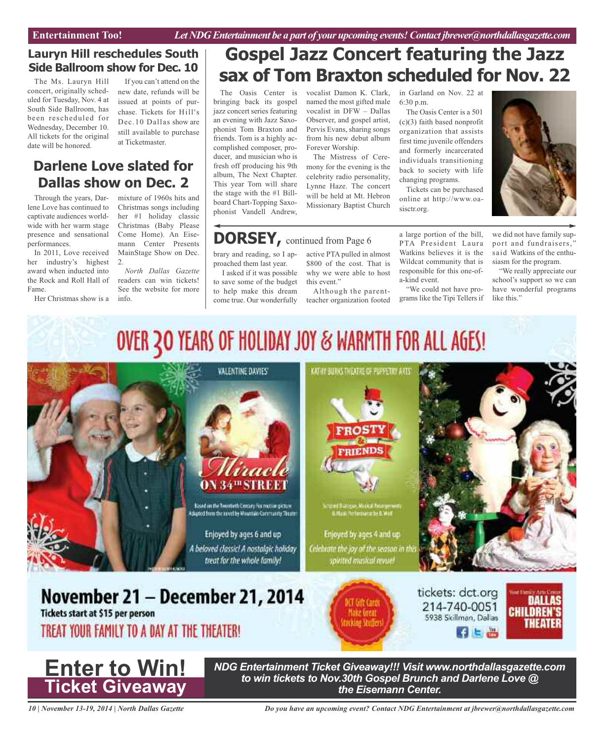# **Lauryn Hill reschedules South Side Ballroom show for Dec. 10**

The Ms. Lauryn Hill concert, originally scheduled for Tuesday, Nov. 4 at South Side Ballroom, has been rescheduled for Wednesday, December 10. All tickets for the original date will be honored.

If you can't attend on the new date, refunds will be issued at points of purchase. Tickets for Hill's Dec.10 Dallas show are still available to purchase at Ticketmaster.

# **Darlene Love slated for Dallas show on Dec. 2**

Through the years, Darlene Love has continued to captivate audiences worldwide with her warm stage presence and sensational performances.

In 2011, Love received her industry's highest award when inducted into the Rock and Roll Hall of Fame.

Her Christmas show is a

mixture of 1960s hits and Christmas songs including her #1 holiday classic Christmas (Baby Please Come Home). An Eisemann Center Presents MainStage Show on Dec. 2.

*North Dallas Gazette* readers can win tickets! See the website for more info.

# **Gospel Jazz Concert featuring the Jazz sax of Tom Braxton scheduled for Nov. 22**

The Oasis Center is bringing back its gospel jazz concert series featuring an evening with Jazz Saxophonist Tom Braxton and friends. Tom is a highly accomplished composer, producer, and musician who is fresh off producing his 9th album, The Next Chapter. This year Tom will share the stage with the #1 Billboard Chart-Topping Saxophonist Vandell Andrew,

brary and reading, so I approached them last year. I asked if it was possible to save some of the budget to help make this dream come true. Our wonderfully

vocalist Damon K. Clark, named the most gifted male vocalist in DFW – Dallas Observer, and gospel artist, Pervis Evans, sharing songs from his new debut album Forever Worship. The Mistress of Cere-

mony for the evening is the celebrity radio personality, Lynne Haze. The concert will be held at Mt. Hebron Missionary Baptist Church

active PTA pulled in almost \$800 of the cost. That is why we were able to host

Although the parentteacher organization footed

this event."

#### in Garland on Nov. 22 at 6:30 p.m. The Oasis Center is a 501

(c)(3) faith based nonprofit organization that assists first time juvenile offenders and formerly incarcerated individuals transitioning back to society with life changing programs.

Tickets can be purchased online at http://www.oasisctr.org.

a large portion of the bill, PTA President Laura Watkins believes it is the Wildcat community that is responsible for this one-ofa-kind event.

"We could not have programs like the Tipi Tellers if



we did not have family support and fundraisers," said Watkins of the enthusiasm for the program.

"We really appreciate our school's support so we can have wonderful programs like this."

# OVER 30 YEARS OF HOLIDAY JOY & WARMTH FOR ALL AGES!

**DORSEY,** continued from Page <sup>6</sup>





*NDG Entertainment Ticket Giveaway!!! Visit www.northdallasgazette.com to win tickets to Nov.30th Gospel Brunch and Darlene Love @ the Eisemann Center.*

*10 | November 13-19, 2014 | North Dallas Gazette*

*Do you have an upcoming event? Contact NDG Entertainment at jbrewer@northdallasgazette.com*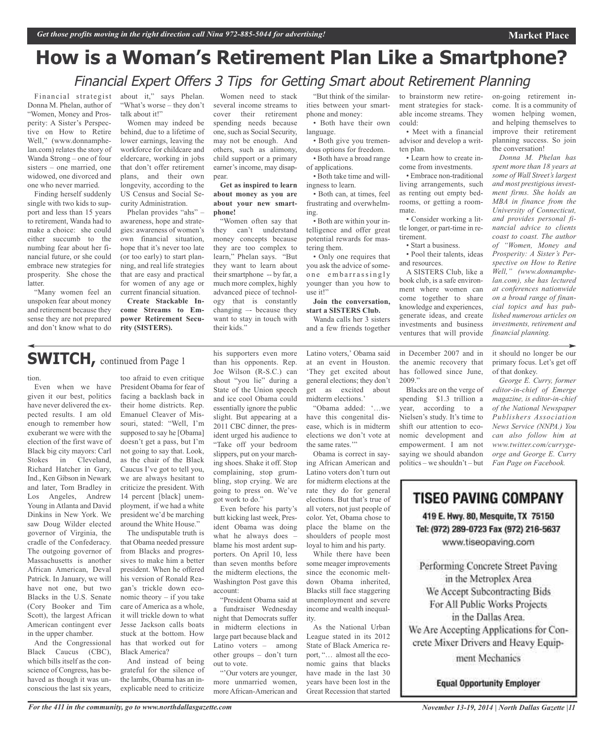# **How is a Woman's Retirement Plan Like a Smartphone?** Financial Expert Offers 3 Tips for Getting Smart about Retirement Planning

Women need to stack several income streams to cover their retirement spending needs because one, such as Social Security, may not be enough. And others, such as alimony, child support or a primary earner's income, may disap-

**Get as inspired to learn about money as you are about your new smart-**

"Women often say that they can't understand money concepts because they are too complex to learn," Phelan says. "But they want to learn about their smartphone -- by far, a much more complex, highly advanced piece of technology that is constantly changing –- because they want to stay in touch with

pear.

**phone!**

their kids."

Financial strategist Donna M. Phelan, author of "Women, Money and Prosperity: A Sister's Perspective on How to Retire Well," (www.donnamphelan.com) relates the story of Wanda Strong – one of four sisters – one married, one widowed, one divorced and one who never married.

Finding herself suddenly single with two kids to support and less than 15 years to retirement, Wanda had to make a choice: she could either succumb to the numbing fear about her financial future, or she could embrace new strategies for prosperity. She chose the latter.

"Many women feel an unspoken fear about money and retirement because they sense they are not prepared and don't know what to do about it," says Phelan. "What's worse – they don't talk about it!"

Women may indeed be behind, due to a lifetime of lower earnings, leaving the workforce for childcare and eldercare, working in jobs that don't offer retirement plans, and their own longevity, according to the US Census and Social Security Administration.

Phelan provides "ahs" – awareness, hope and strategies: awareness of women's own financial situation, hope that it's never too late (or too early) to start planning, and real life strategies that are easy and practical for women of any age or current financial situation.

**Create Stackable Income Streams to Empower Retirement Security (SISTERS).**

# **SWITCH,** continued from Page <sup>1</sup>

#### tion.

Even when we have given it our best, politics have never delivered the expected results. I am old enough to remember how exuberant we were with the election of the first wave of Black big city mayors: Carl Stokes in Cleveland, Richard Hatcher in Gary, Ind., Ken Gibson in Newark and later, Tom Bradley in Los Angeles, Andrew Young in Atlanta and David Dinkins in New York. We saw Doug Wilder elected governor of Virginia, the cradle of the Confederacy. The outgoing governor of Massachusetts is another African American, Deval Patrick. In January, we will have not one, but two Blacks in the U.S. Senate (Cory Booker and Tim Scott), the largest African American contingent ever in the upper chamber.

And the Congressional Black Caucus (CBC), which bills itself as the conscience of Congress, has behaved as though it was unconscious the last six years,

too afraid to even critique President Obama for fear of facing a backlash back in their home districts. Rep. Emanuel Cleaver of Missouri, stated: "Well, I'm supposed to say he [Obama] doesn't get a pass, but I'm not going to say that. Look, as the chair of the Black Caucus I've got to tell you, we are always hesitant to criticize the president. With 14 percent [black] unemployment, if we had a white president we'd be marching around the White House."

The undisputable truth is that Obama needed pressure from Blacks and progressives to make him a better president. When he offered his version of Ronald Reagan's trickle down economic theory – if you take care of America as a whole, it will trickle down to what Jesse Jackson calls boats stuck at the bottom. How has that worked out for Black America?

And instead of being grateful for the silence of the lambs, Obama has an inexplicable need to criticize his supporters even more than his opponents. Rep. Joe Wilson (R-S.C.) can shout "you lie" during a State of the Union speech and ice cool Obama could essentially ignore the public slight. But appearing at a 2011 CBC dinner, the president urged his audience to "Take off your bedroom slippers, put on your marching shoes. Shake it off. Stop complaining, stop grumbling, stop crying. We are going to press on. We've got work to do."

Even before his party's butt kicking last week, President Obama was doing what he always does – blame his most ardent supporters. On April 10, less than seven months before the midterm elections, the Washington Post gave this account:

"President Obama said at a fundraiser Wednesday night that Democrats suffer in midterm elections in large part because black and Latino voters – among other groups – don't turn out to vote.

"'Our voters are younger, more unmarried women, more African-American and

"But think of the similarities between your smartphone and money:

• Both have their own language.

• Both give you tremendous options for freedom. • Both have a broad range of applications.

• Both take time and will-

ingness to learn. • Both can, at times, feel frustrating and overwhelming.

• Both are within your intelligence and offer great potential rewards for mastering them.

• Only one requires that you ask the advice of someone embarrassingly younger than you how to use it!"

**Join the conversation, start a SISTERS Club.** Wanda calls her 3 sisters

and a few friends together

Latino voters,' Obama said at an event in Houston. 'They get excited about general elections; they don't get as excited about

"Obama added: '…we have this congenital disease, which is in midterm elections we don't vote at

Obama is correct in saying African American and Latino voters don't turn out for midterm elections at the rate they do for general elections. But that's true of all voters, not just people of color. Yet, Obama chose to place the blame on the shoulders of people most loyal to him and his party. While there have been some meager improvements since the economic meltdown Obama inherited, Blacks still face staggering unemployment and severe income and wealth inequal-

As the National Urban League stated in its 2012 State of Black America report, "… almost all the economic gains that blacks have made in the last 30 years have been lost in the Great Recession that started

midterm elections.'

the same rates."

ity.

to brainstorm new retirement strategies for stackable income streams. They could:

• Meet with a financial advisor and develop a written plan.

• Learn how to create income from investments.

• Embrace non-traditional living arrangements, such as renting out empty bedrooms, or getting a roommate.

• Consider working a little longer, or part-time in retirement.

• Start a business.

• Pool their talents, ideas and resources.

A SISTERS Club, like a book club, is a safe environment where women can come together to share knowledge and experiences, generate ideas, and create investments and business ventures that will provide

in December 2007 and in the anemic recovery that has followed since June, 2009."

Blacks are on the verge of spending \$1.3 trillion a year, according to a Nielsen's study. It's time to shift our attention to economic development and empowerment. I am not saying we should abandon politics – we shouldn't – but

it should no longer be our primary focus. Let's get off of that donkey. *George E. Curry, former*

*editor-in-chief of Emerge magazine, is editor-in-chief of the National Newspaper Publishers Association News Service (NNPA.) You can also follow him at www.twitter.com/currygeorge and George E. Curry Fan Page on Facebook.*

**TISEO PAVING COMPANY** 419 E. Hwy. 80, Mesquite, TX 75150 Tel: (972) 289-0723 Fax (972) 216-5637 www.tiseopaving.com

Performing Concrete Street Paving in the Metroplex Area We Accept Subcontracting Bids For All Public Works Projects in the Dallas Area. We Are Accepting Applications for Concrete Mixer Drivers and Heavy Equip-

ment Mechanics

**Equal Opportunity Employer** 

the conversation!

*Donna M. Phelan has spent more than 18 years at some of Wall Street's largest and most prestigious investment firms. She holds an MBA in finance from the University of Connecticut, and provides personal financial advice to clients coast to coast. The author of "Women, Money and Prosperity: A Sister's Perspective on How to Retire Well," (www.donnamphelan.com), she has lectured at conferences nationwide on a broad range of financial topics and has published numerous articles on investments, retirement and financial planning.*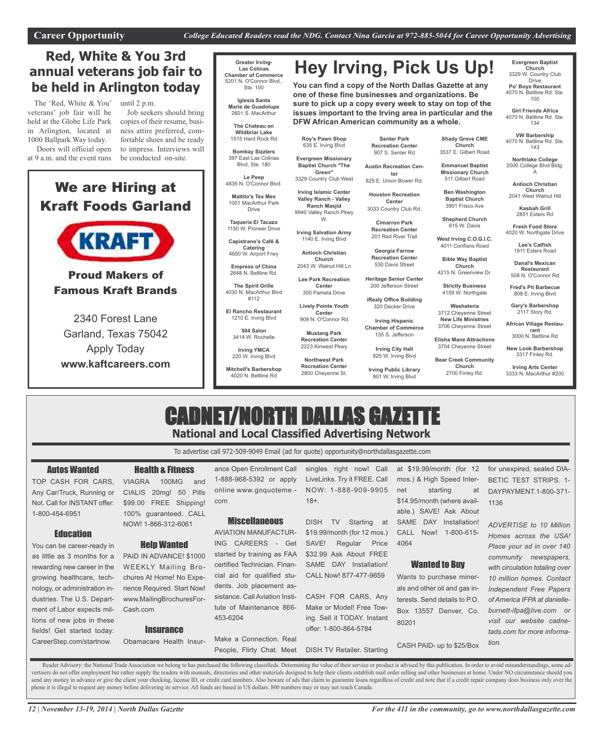**DFW African American community as a whole.**

# **Red, White & You 3rd annual veterans job fair to be held in Arlington today**

The 'Red, White & You' veterans' job fair will be held at the Globe Life Park in Arlington, located at 1000 Ballpark Way today. Doors will official open

at 9 a.m. and the event runs

until 2 p.m. Job seekers should bring copies of their resume, business attire preferred, comfortable shoes and be ready to impress. Interviews will be conducted on-site.

# We are Hiring at Kraft Foods Garland



# Proud Makers of Famous Kraft Brands

# 2340 Forest Lane Garland, Texas 75042 Apply Today **www.kaftcareers.com**

#### **Greater Irving-Las Colinas Chamber of Commerce** 5201 N. O'Connor Blvd., Ste. 100

**Iglesia Santa Marie de Guadolupe** 2601 S. MacArthur

**The Chateau on Wildbriar Lake** 1515 Hard Rock Rd

**Bombay Sizzlers** 397 East Las Colinas

Blvd, Ste. 180 **Le Peep** 4835 N. O'Connor Blvd.

**Mattito's Tex Mex** 1001 MacArthur Park Drive

**Taqueria El Tacazo** 1150 W. Pioneer Drive

**Capistrano's Café & Catering** 4650 W. Airport Frwy

**Empress of China** 2648 N. Beltline Rd.

**The Spirit Grille** 4030 N. MacArthur Blvd

#112 **El Rancho Restaurant**

> 1210 E. Irving Blvd **504 Salon** 3414 W. Rochelle

**Irving YMCA** 220 W. Irving Blvd

**Mitchell's Barbershop** 4020 N. Beltline Rd

**Senter Park Recreation Center** 907 S. Senter Rd

**Hey Irving, Pick Us Up!**

**You can find a copy of the North Dallas Gazette at any one of these fine businesses and organizations. Be sure to pick up a copy every week to stay on top of the issues important to the Irving area in particular and the**

**Roy's Pawn Shop** 635 E. Irving Blvd **Evergreen Missionary Baptist Church "The Green"** 3329 Country Club West **Irving Islamic Center Valley Ranch - Valley Ranch Masjid** 9940 Valley Ranch Pkwy W. **Irving Salvation Army** 1140 E. Irving Blvd **Antioch Christian Church** 2043 W. Walnut Hill Ln **Lee Park Recreation Center** 300 Pamela Drive **Lively Pointe Youth Center** 909 N. O'Connor Rd **Mustang Park Recreation Center** 2223 Kinwest Pkwy **Northwest Park Recreation Center** 2800 Cheyenne St.

**Austin Recreation Center** 825 E. Union Bower Rd.

**Houston Recreation Center** 3033 Country Club Rd.

> **Cimarron Park Recreation Center** 201 Red River Trail

**Georgia Farrow Recreation Center** 530 Davis Street

**Heritage Senior Center** 200 Jefferson Street

**iRealy Office Building** 320 Decker Drive

**Irving Hispanic Chamber of Commerce** 135 S. Jefferson

> **Irving City Hall** 825 W. Irving Blvd

**Irving Public Library** 801 W. Irving Blvd

**Shady Grove CME Church** 3537 E. Gilbert Road

**Emmanuel Baptist Missionary Church** 511 Gilbert Road

**Ben Washington Baptist Church** 3901 Frisco Ave

**Shepherd Church** 615 W. Davis

**West Irving C.O.G.I.C.**

4011 Conflans Road **Bible Way Baptist**

**Church** 4215 N. Greenview Dr.

**Strictly Business** 4159 W. Northgate

3704 Cheyenne Street **Bear Creek Community Church** 2700 Finley Rd.

**Washateria** 3712 Cheyenne Street **New Life Ministries**

3706 Cheyenne Street **Elisha Mane Attractions African Village Restaurant** 3000 N. Beltline Rd

> **New Look Barbershop** 3317 Finley Rd.

**Evergreen Baptist Church** 3329 W. Country Club Drive **Po' Boys Restaurant** 4070 N. Beltline Rd. Ste. 100 **Girl Friends Africa** 4070 N. Beltline Rd. Ste. 134 **VW Barbership** 4070 N. Beltline Rd. Ste. 143 **Northlake College** 2000 College Blvd Bldg. A **Antioch Christian Church** 2041 West Walnut Hill **Kasbah Grill** 2851 Esters Rd **Fresh Food Store** 4020 W. Northgate Drive **Lee's Catfish** 1911 Esters Road **Danal's Mexican Restaurant** 508 N. O'Connor Rd **Fred's Pit Barbecue** 808 E. Irving Blvd **Gary's Barbershop** 2117 Story Rd.

**Irving Arts Center** 3333 N. MacArthur #200

# CADNET/NORTH DALLAS GAZETTE **National and Local Classified Advertising Network**

To advertise call 972-509-9049 Email (ad for quote) opportunity@northdallasgazette.com

### Autos Wanted

Any Car/Truck, Running or Not. Call for INSTANT offer: 1-800-454-6951

#### **Education**

You can be career-ready in as little as 3 months for a rewarding new career in the growing healthcare, technology, or administration industries. The U.S. Department of Labor expects millions of new jobs in these fields! Get started today: CareerStep.com/startnow.

### TOP CASH FOR CARS, VIAGRA 100MG and Health & Fitness CIALIS 20mg! 50 Pills \$99.00 FREE Shipping! 100% guaranteed. CALL NOW! 1-866-312-6061

### Help Wanted

PAID IN ADVANCE! \$1000 WEEKLY Mailing Brochures At Home! No Experience Required. Start Now! www.MailingBrochuresFor-Cash.com

#### **Insurance**

Obamacare Health Insur-

ance Open Enrollment Call 1-888-968-5392 or apply online www.goquoteme. com

### **Miscellaneous**

AVIATION MANUFACTUR-ING CAREERS - Get started by training as FAA certified Technician. Financial aid for qualified students. Job placement assistance. Call Aviation Institute of Maintenance 866- 453-6204

Make a Connection. Real People, Flirty Chat. Meet 18+.

DISH TV Starting at \$19.99/month (for 12 mos.) SAVE! Regular Price \$32.99 Ask About FREE SAME DAY Installation! CALL Now! 877-477-9659

CASH FOR CARS, Any Make or Model! Free Towing. Sell it TODAY. Instant offer: 1-800-864-5784

DISH TV Retailer. Starting

80201

for unexpired, sealed DIA-BETIC TEST STRIPS. 1- DAYPAYMENT.1-800-371- 1136

*ADVERTISE to 10 Million Homes across the USA! Place your ad in over 140 community newspapers, with circulation totaling over 10 million homes. Contact Independent Free Papers of America IFPA at danielleburnett-ifpa@live.com or visit our website cadnetads.com for more information.*

Reader Advisory: the National Trade Association we belong to has purchased the following classifieds. Determining the value of their service or product is advised by this publication. In order to avoid misunderstandings, s vertisers do not offer employment but rather supply the readers with manuals, directories and other materials designed to help their clients establish mail order selling and other businesses at home. Under NO circumstance send any money in advance or give the client your checking, license ID, or credit card numbers. Also beware of ads that claim to guarantee loans regardless of credit and note that if a credit repair company does business o phone it is illegal to request any money before delivering its service. All funds are based in US dollars. 800 numbers may or may not reach Canada.



CASH PAID- up to \$25/Box

Wanted to Buy Wants to purchase minerals and other oil and gas interests. Send details to P.O. Box 13557 Denver, Co.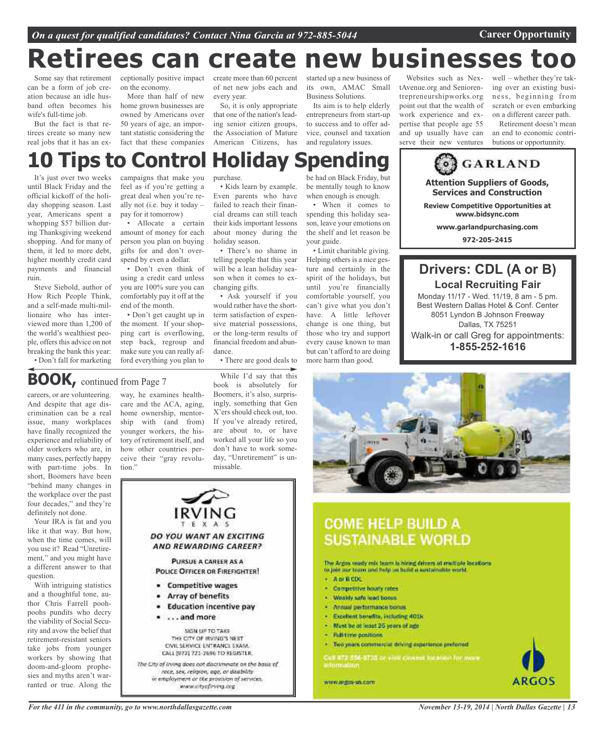# **Retirees can create new businesses too**

Some say that retirement can be a form of job creation because an idle husband often becomes his wife's full-time job.

But the fact is that retirees create so many new real jobs that it has an exon the economy.

More than half of new home grown businesses are owned by Americans over 50 years of age, an important statistic considering the fact that these companies

ceptionally positive impact create more than 60 percent of net new jobs each and every year.

> So, it is only appropriate that one of the nation's leading senior citizen groups, the Association of Mature American Citizens, has

> • Kids learn by example. Even parents who have failed to reach their financial dreams can still teach their kids important lessons about money during the

• There's no shame in telling people that this year will be a lean holiday season when it comes to ex-

• Ask yourself if you would rather have the shortterm satisfaction of expensive material possessions, or the long-term results of financial freedom and abun-

• There are good deals to

holiday season.

changing gifts.

dance.

IRVING

DO YOU WANT AN EXCITING AND REWARDING CAREER?

PURSUE A CAREER AS A

**POLICE OFFICER OR FIREFIGHTER!** 

**Education incentive pay** 

SIGN UP TO TAKE

THE CITY OF IRVING'S NEXT

CIVIL SERVICE ENTRANCE EXAM.

CALL (972) 721-2696 TO REGISTER. The City of Irving does not discriminate on the basis of race, sex, religion, age, or disability in employment or the provision of services.

www.cityofiriing.org

**Competitive wages** 

Array of benefits

...and more

started up a new business of its own, AMAC Small Business Solutions. Its aim is to help elderly

entrepreneurs from start-up to success and to offer advice, counsel and taxation and regulatory issues.

Websites such as NextAvenue.org and Seniorentrepreneurshipworks.org point out that the wealth of work experience and expertise that people age 55 and up usually have can serve their new ventures

well – whether they're taking over an existing business, beginning from scratch or even embarking on a different career path.

Retirement doesn't mean an end to economic contributions or opportunnity.

# purchase. **10 Tips to Control Holiday Spending**

It's just over two weeks until Black Friday and the official kickoff of the holiday shopping season. Last year, Americans spent a whopping \$57 billion during Thanksgiving weekend shopping. And for many of them, it led to more debt, higher monthly credit card payments and financial ruin.

Steve Siebold, author of How Rich People Think, and a self-made multi-millionaire who has interviewed more than 1,200 of the world's wealthiest people, offers this advice on not breaking the bank this year:

• Don't fall for marketing

campaigns that make you feel as if you're getting a great deal when you're really not (i.e. buy it today – pay for it tomorrow)

• Allocate a certain amount of money for each person you plan on buying gifts for and don't overspend by even a dollar.

• Don't even think of using a credit card unless you are 100% sure you can comfortably pay it off at the end of the month.

• Don't get caught up in the moment. If your shopping cart is overflowing, step back, regroup and make sure you can really afford everything you plan to

# **BOOK,** continued from Page <sup>7</sup>

careers, or are volunteering. And despite that age discrimination can be a real issue, many workplaces have finally recognized the experience and reliability of older workers who are, in many cases, perfectly happy with part-time jobs. In short, Boomers have been "behind many changes in the workplace over the past four decades," and they're definitely not done.

Your IRA is fat and you like it that way. But how, when the time comes, will you use it? Read "Unretirement," and you might have a different answer to that question.

With intriguing statistics and a thoughtful tone, author Chris Farrell poohpoohs pundits who decry the viability of Social Security and avow the belief that retirement-resistant seniors take jobs from younger workers by showing that doom-and-gloom prophesies and myths aren't warranted or true. Along the

way, he examines healthcare and the ACA, aging, home ownership, mentorship with (and from) younger workers, the history of retirement itself, and how other countries perceive their "gray revolution."

 $\bullet$ 

۰

While I'd say that this book is absolutely for Boomers, it's also, surprisingly, something that Gen X'ers should check out, too. If you've already retired, are about to, or have worked all your life so you don't have to work someday, "Unretirement" is unmissable.

be had on Black Friday, but be mentally tough to know when enough is enough.

• When it comes to spending this holiday season, leave your emotions on the shelf and let reason be your guide.

• Limit charitable giving. Helping others is a nice gesture and certainly in the spirit of the holidays, but until you're financially comfortable yourself, you can't give what you don't have. A little leftover change is one thing, but those who try and support every cause known to man but can't afford to are doing more harm than good.

**Services and Construction Review Competitive Opportunities at www.garlandpurchasing.com**

# **Drivers: CDL (A or B) Local Recruiting Fair** Monday 11/17 - Wed. 11/19, 8 am - 5 pm. Best Western Dallas Hotel & Conf. Center

**Attention Suppliers of Goods,**

**GARLAND** 

**www.bidsync.com**

**972-205-2415**

8051 Lyndon B Johnson Freeway Dallas, TX 75251 Walk-in or call Greg for appointments: **1-855-252-1616**



# **COME HELP BUILD A SUSTAINABLE WORLD**

The Argos ready mix team is hiring drivers at multiple locations. to join our team and help as baild a sestainable world

- Aor R CDL
- Competitive hourly rates
- · Wesldy safe load bonus
- Annual performance bonus
- Excellent benefits, including 4013.
- · Must be at least 25 years of age
- · Full-time positions:
- · Two years commercial driving experience preferred

Can 972-554 9738 or visit cavest theseen for more<br>information

www.anjou-us.com



*For the 411 in the community, go to www.northdallasgazette.com*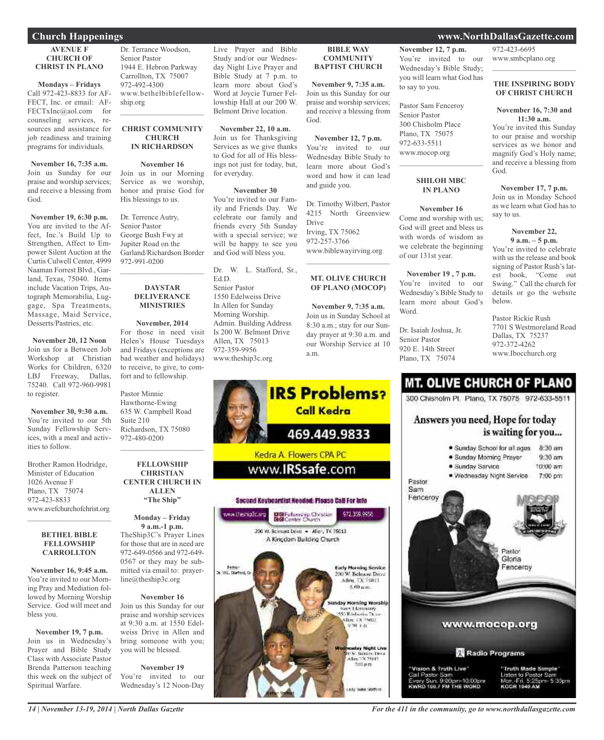## **Church Happenings www.NorthDallasGazette.com**

#### **AVENUE F CHURCH OF CHRIST IN PLANO**

**Mondays – Fridays** Call 972-423-8833 for AF-FECT, Inc. or email: AF-FECTxInc@aol.com for counseling services, resources and assistance for job readiness and training programs for individuals.

**November 16, 7:35 a.m.** Join us Sunday for our praise and worship services; and receive a blessing from God.

**November 19, 6:30 p.m.** You are invited to the Affect, Inc.'s Build Up to Strengthen, Affect to Empower Silent Auction at the Curtis Culwell Center, 4999 Naaman Forrest Blvd., Garland, Texas, 75040. Items include Vacation Trips, Autograph Memorabilia, Luggage, Spa Treatments, Massage, Maid Service, Desserts/Pastries, etc.

**November 20, 12 Noon** Join us for a Between Job Workshop at Christian Works for Children, 6320 LBJ Freeway, Dallas, 75240. Call 972-960-9981 to register.

**November 30, 9:30 a.m.** You're invited to our 5th Sunday Fellowship Services, with a meal and activities to follow.

Brother Ramon Hodridge, Minister of Education 1026 Avenue F Plano, TX 75074 972-423-8833 www.avefchurchofchrist.org

#### **BETHEL BIBLE FELLOWSHIP CARROLLTON**

 $\mathcal{L}$  , and the set of the set of the set of the set of the set of the set of the set of the set of the set of the set of the set of the set of the set of the set of the set of the set of the set of the set of the set

**November 16, 9:45 a.m.** You're invited to our Morning Pray and Mediation followed by Morning Worship Service. God will meet and bless you.

**November 19, 7 p.m.** Join us in Wednesday's Prayer and Bible Study Class with Associate Pastor Brenda Patterson teaching this week on the subject of Spiritual Warfare.

Dr. Terrance Woodson, Senior Pastor 1944 E. Hebron Parkway Carrollton, TX 75007 972-492-4300 www.bethelbiblefellowship.org  $\mathcal{L}_\text{max}$  and  $\mathcal{L}_\text{max}$  and  $\mathcal{L}_\text{max}$ 

#### **CHRIST COMMUNITY CHURCH IN RICHARDSON**

**November 16** Join us in our Morning Service as we worship, honor and praise God for His blessings to us.

Dr. Terrence Autry, Senior Pastor George Bush Fwy at Jupiter Road on the Garland/Richardson Border 972-991-0200

#### **DAYSTAR DELIVERANCE MINISTRIES**

 $\mathcal{L}_\text{max}$  , which is a set of the set of the set of the set of the set of the set of the set of the set of the set of the set of the set of the set of the set of the set of the set of the set of the set of the set of

**November, 2014** For those in need visit Helen's House Tuesdays and Fridays (exceptions are bad weather and holidays) to receive, to give, to comfort and to fellowship.

Pastor Minnie Hawthorne-Ewing 635 W. Campbell Road Suite 210 Richardson, TX 75080 972-480-0200

**FELLOWSHIP CHRISTIAN CENTER CHURCH IN ALLEN "The Ship"**

 $\mathcal{L}_\text{max}$  , which is a set of the set of the set of the set of the set of the set of the set of the set of the set of the set of the set of the set of the set of the set of the set of the set of the set of the set of

**Monday – Friday 9 a.m.-1 p.m.** TheShip3C's Prayer Lines for those that are in need are 972-649-0566 and 972-649- 0567 or they may be submitted via email to: prayerline@theship3c.org

**November 16** Join us this Sunday for our praise and worship services at 9:30 a.m. at 1550 Edelweiss Drive in Allen and bring someone with you; you will be blessed.

**November 19** You're invited to our Wednesday's 12 Noon-Day

Live Prayer and Bible Study and/or our Wednesday Night Live Prayer and Bible Study at 7 p.m. to learn more about God's Word at Joycie Turner Fellowship Hall at our 200 W. Belmont Drive location.

**November 22, 10 a.m.** Join us for Thanksgiving Services as we give thanks to God for all of His blessings not just for today, but, for everyday.

### **November 30**

You're invited to our Family and Friends Day. We celebrate our family and friends every 5th Sunday with a special service; we will be happy to see you and God will bless you.

Dr. W. L. Stafford, Sr., Ed.D. Senior Pastor 1550 Edelweiss Drive In Allen for Sunday Morning Worship. Admin. Building Address Is 200 W. Belmont Drive Allen, TX 75013 972-359-9956 www.theship3c.org

### **BIBLE WAY COMMUNITY BAPTIST CHURCH**

**November 9, 7:35 a.m.** Join us this Sunday for our praise and worship services; and receive a blessing from God.

**November 12, 7 p.m.** You're invited to our Wednesday Bible Study to learn more about God's word and how it can lead and guide you.

Dr. Timothy Wilbert, Pastor 4215 North Greenview Drive Irving, TX 75062 972-257-3766 www.biblewayirving.org  $\mathcal{L}$  , and the set of the set of the set of the set of the set of the set of the set of the set of the set of the set of the set of the set of the set of the set of the set of the set of the set of the set of the set

### **MT. OLIVE CHURCH OF PLANO (MOCOP)**

**November 9, 7:35 a.m.** Join us in Sunday School at 8:30 a.m.; stay for our Sunday prayer at 9:30 a.m. and our Worship Service at 10 a.m.



#### **November 12, 7 p.m.** You're invited to our Wednesday's Bible Study; you will learn what God has to say to you.

Pastor Sam Fenceroy Senior Pastor 300 Chisholm Place Plano, TX 75075 972-633-5511 www.mocop.org

### **SHILOH MBC IN PLANO**

 $\mathcal{L}_\text{max}$  and  $\mathcal{L}_\text{max}$  and  $\mathcal{L}_\text{max}$ 

**November 16** Come and worship with us; God will greet and bless us with words of wisdom as we celebrate the beginning of our 131st year.

**November 19 , 7 p.m.** You're invited to our Wednesday's Bible Study to learn more about God's Word.

Dr. Isaiah Joshua, Jr. Senior Pastor 920 E. 14th Street Plano, TX 75074

972-423-6695 www.smbcplano.org  $\overline{\phantom{a}}$  , and the set of the set of the set of the set of the set of the set of the set of the set of the set of the set of the set of the set of the set of the set of the set of the set of the set of the set of the s

#### **THE INSPIRING BODY OF CHRIST CHURCH**

#### **November 16, 7:30 and 11:30 a.m.**

You're invited this Sunday to our praise and worship services as we honor and magnify God's Holy name; and receive a blessing from God.

#### **November 17, 7 p.m.** Join us in Monday School

as we learn what God has to say to us.

#### **November 22, 9 a.m. – 5 p.m.**

You're invited to celebrate with us the release and book signing of Pastor Rush's latest book, "Come out Swing." Call the church for details or go the website below.

Pastor Rickie Rush 7701 S Westmoreland Road Dallas, TX 75237 972-372-4262 www.Ibocchurch.org

# **MT. OLIVE CHURCH OF PLANO**

300 Chisholm Pl. Plano, TX 75075 972-633-5511

## Answers you need, Hope for today is waiting for you...



*14 | November 13-19, 2014 | North Dallas Gazette*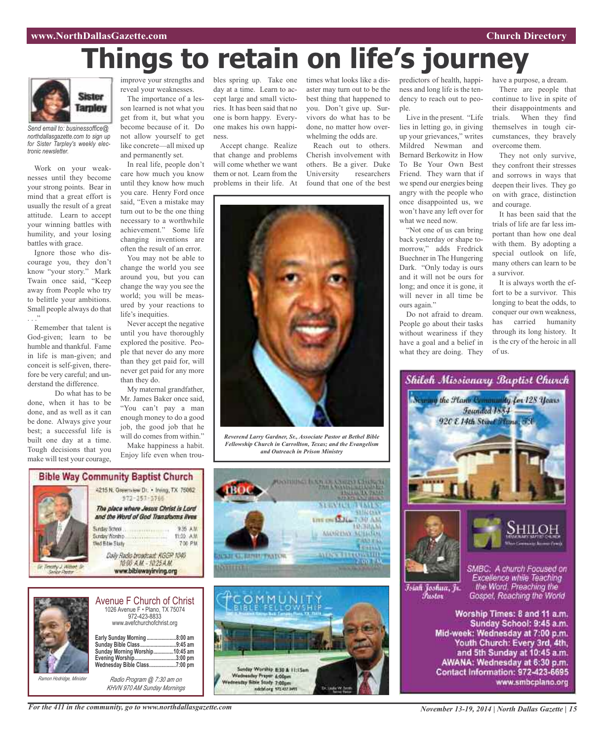# **Things to retain on life's journey**



*Send email to: businessoffice@ northdallasgazette.com to sign up for Sister Tarpley's weekly electronic newsletter.*

Work on your weaknesses until they become your strong points. Bear in mind that a great effort is usually the result of a great attitude. Learn to accept your winning battles with humility, and your losing battles with grace.

Ignore those who discourage you, they don't know "your story." Mark Twain once said, "Keep away from People who try to belittle your ambitions. Small people always do that . . ."

Remember that talent is God-given; learn to be humble and thankful. Fame in life is man-given; and conceit is self-given, therefore be very careful; and understand the difference.

Do what has to be done, when it has to be done, and as well as it can be done. Always give your best; a successful life is built one day at a time. Tough decisions that you make will test your courage,

reveal your weaknesses.

The importance of a lesson learned is not what you get from it, but what you become because of it. Do not allow yourself to get like concrete—all mixed up and permanently set.

In real life, people don't care how much you know until they know how much you care. Henry Ford once said, "Even a mistake may turn out to be the one thing necessary to a worthwhile achievement." Some life changing inventions are often the result of an error.

You may not be able to change the world you see around you, but you can change the way you see the world; you will be measured by your reactions to life's inequities.

Never accept the negative until you have thoroughly explored the positive. People that never do any more than they get paid for, will never get paid for any more than they do.

My maternal grandfather, Mr. James Baker once said, "You can't pay a man enough money to do a good job, the good job that he will do comes from within." Make happiness a habit.

Enjoy life even when trou-

improve your strengths and bles spring up. Take one day at a time. Learn to accept large and small victories. It has been said that no one is born happy. Everyone makes his own happiness.

> Accept change. Realize that change and problems will come whether we want them or not. Learn from the problems in their life. At

times what looks like a disaster may turn out to be the best thing that happened to you. Don't give up. Survivors do what has to be done, no matter how overwhelming the odds are.

Reach out to others. Cherish involvement with others. Be a giver. Duke University researchers found that one of the best



*Reverend Larry Gardner, Sr., Associate Pastor at Bethel Bible Fellowship Church in Carrollton, Texas; and the Evangelism and Outreach in Prison Ministry*





|                          | <b>Avenue F Church of Christ</b><br>1026 Avenue F · Plano, TX 75074<br>972-423-8833<br>www.avefchurchofchrist.org                      |                     |
|--------------------------|----------------------------------------------------------------------------------------------------------------------------------------|---------------------|
|                          | Early Sunday Morning<br>Sunday Bible Class9:45 am<br>Sunday Morning Worship10:45 am<br>Evening Worship3:00 pm<br>Wednesday Bible Class | .8:00 am<br>7:00 pm |
| Ramon Hodridge, Minister | Radio Program @ 7:30 am on                                                                                                             |                     |

*Radio Program @ 7:30 am on KHVN 970 AM Sunday Mornings*





Live in the present. "Life lies in letting go, in giving up your grievances," writes Mildred Newman and Bernard Berkowitz in How To Be Your Own Best Friend. They warn that if we spend our energies being angry with the people who once disappointed us, we won't have any left over for what we need now.

"Not one of us can bring back yesterday or shape tomorrow," adds Fredrick Buechner in The Hungering Dark. "Only today is ours and it will not be ours for long; and once it is gone, it will never in all time be ours again."

Do not afraid to dream. People go about their tasks without weariness if they have a goal and a belief in what they are doing. They have a purpose, a dream.

There are people that continue to live in spite of their disappointments and trials. When they find themselves in tough circumstances, they bravely overcome them.

They not only survive, they confront their stresses and sorrows in ways that deepen their lives. They go on with grace, distinction and courage.

It has been said that the trials of life are far less important than how one deal with them. By adopting a special outlook on life, many others can learn to be a survivor.

It is always worth the effort to be a survivor. This longing to beat the odds, to conquer our own weakness, has carried humanity through its long history. It is the cry of the heroic in all of us.



Worship Times: 8 and 11 a.m. Sunday School: 9:45 a.m. Mid-week: Wednesday at 7:00 p.m. Youth Church: Every 3rd, 4th, and 5th Sunday at 10:45 a.m. AWANA: Wednesday at 6:30 p.m. Contact Information: 972-423-6695 www.smbcplano.org